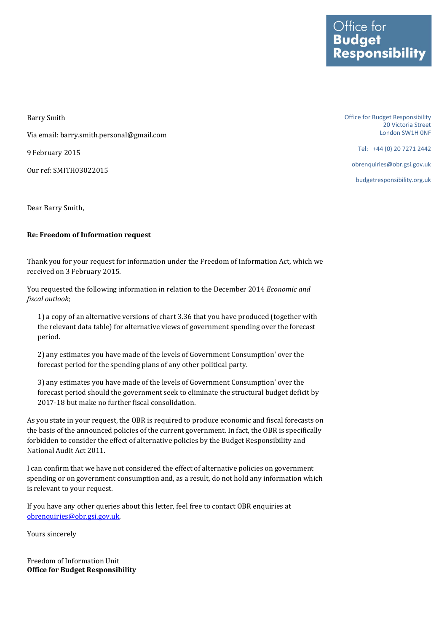Barry Smith Via email: barry.smith.personal@gmail.com 9 February 2015 Our ref: SMITH03022015

Dear Barry Smith,

## **Re: Freedom of Information request**

Thank you for your request for information under the Freedom of Information Act, which we received on 3 February 2015.

You requested the following information in relation to the December 2014 *Economic and fiscal outlook*;

1) a copy of an alternative versions of chart 3.36 that you have produced (together with the relevant data table) for alternative views of government spending over the forecast period.

2) any estimates you have made of the levels of Government Consumption' over the forecast period for the spending plans of any other political party.

3) any estimates you have made of the levels of Government Consumption' over the forecast period should the government seek to eliminate the structural budget deficit by 2017-18 but make no further fiscal consolidation.

As you state in your request, the OBR is required to produce economic and fiscal forecasts on the basis of the announced policies of the current government. In fact, the OBR is specifically forbidden to consider the effect of alternative policies by the Budget Responsibility and National Audit Act 2011.

I can confirm that we have not considered the effect of alternative policies on government spending or on government consumption and, as a result, do not hold any information which is relevant to your request.

If you have any other queries about this letter, feel free to contact OBR enquiries at [obrenquiries@obr.gsi.gov.uk.](mailto:obrenquiries@obr.gsi.gov.uk?subject=FOI%2009/03/11)

Yours sincerely

Freedom of Information Unit **Office for Budget Responsibility** Office for Budget Responsibility 20 Victoria Street London SW1H 0NF

Tel: +44 (0) 20 7271 2442

obrenquiries@obr.gsi.gov.uk

budgetresponsibility.org.uk